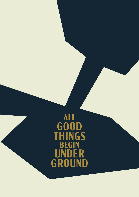# ALL<br>GOOD<br>THINGS<br>BEGIN<br>UNDER<br>GROUND